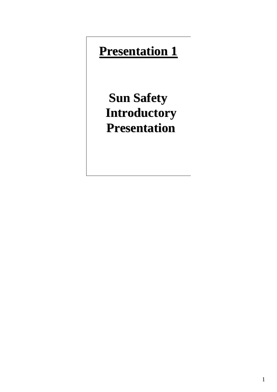# **Presentation 1**

**Sun Safety Introductory Presentation**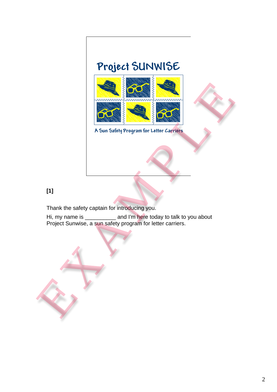## Project SUNWISE



### **[1]**

Thank the safety captain for introducing you.

Hi, my name is \_\_\_\_\_\_\_\_\_\_ and I'm here today to talk to you about Project Sunwise, a sun safety program for letter carriers.

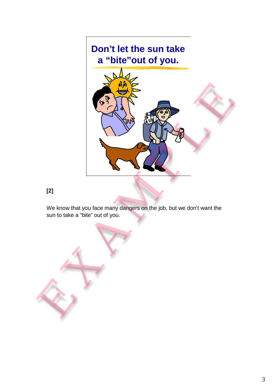

### **[2]**

We know that you face many dangers on the job, but we don't want the sun to take a "bite" out of you.

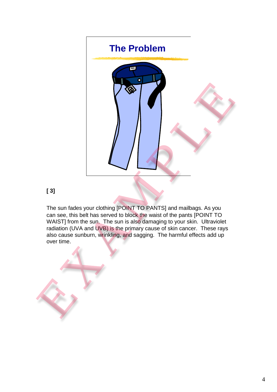

### **[ 3]**

The sun fades your clothing [POINT TO PANTS] and mailbags. As you can see, this belt has served to block the waist of the pants [POINT TO WAIST] from the sun. The sun is also damaging to your skin. Ultraviolet radiation (UVA and UVB) is the primary cause of skin cancer. These rays also cause sunburn, wrinkling, and sagging. The harmful effects add up over time.